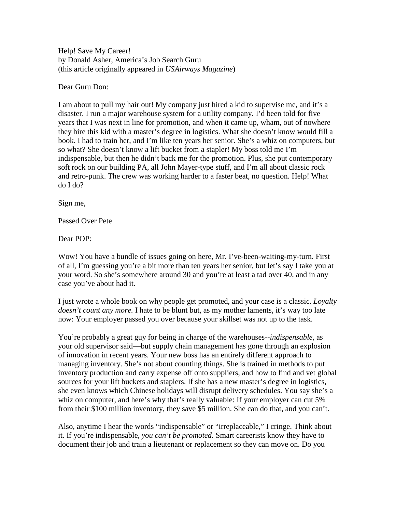Help! Save My Career! by Donald Asher, America's Job Search Guru (this article originally appeared in *USAirways Magazine*)

Dear Guru Don:

I am about to pull my hair out! My company just hired a kid to supervise me, and it's a disaster. I run a major warehouse system for a utility company. I'd been told for five years that I was next in line for promotion, and when it came up, wham, out of nowhere they hire this kid with a master's degree in logistics. What she doesn't know would fill a book. I had to train her, and I'm like ten years her senior. She's a whiz on computers, but so what? She doesn't know a lift bucket from a stapler! My boss told me I'm indispensable, but then he didn't back me for the promotion. Plus, she put contemporary soft rock on our building PA, all John Mayer-type stuff, and I'm all about classic rock and retro-punk. The crew was working harder to a faster beat, no question. Help! What do I do?

Sign me,

Passed Over Pete

Dear POP:

Wow! You have a bundle of issues going on here, Mr. I've-been-waiting-my-turn. First of all, I'm guessing you're a bit more than ten years her senior, but let's say I take you at your word. So she's somewhere around 30 and you're at least a tad over 40, and in any case you've about had it.

I just wrote a whole book on why people get promoted, and your case is a classic. *Loyalty doesn't count any more.* I hate to be blunt but, as my mother laments, it's way too late now: Your employer passed you over because your skillset was not up to the task.

You're probably a great guy for being in charge of the warehouses--*indispensable,* as your old supervisor said—but supply chain management has gone through an explosion of innovation in recent years. Your new boss has an entirely different approach to managing inventory. She's not about counting things. She is trained in methods to put inventory production and carry expense off onto suppliers, and how to find and vet global sources for your lift buckets and staplers. If she has a new master's degree in logistics, she even knows which Chinese holidays will disrupt delivery schedules. You say she's a whiz on computer, and here's why that's really valuable: If your employer can cut 5% from their \$100 million inventory, they save \$5 million. She can do that, and you can't.

Also, anytime I hear the words "indispensable" or "irreplaceable," I cringe. Think about it. If you're indispensable, *you can't be promoted.* Smart careerists know they have to document their job and train a lieutenant or replacement so they can move on. Do you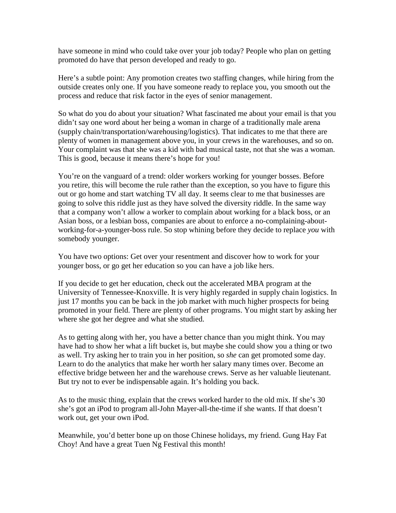have someone in mind who could take over your job today? People who plan on getting promoted do have that person developed and ready to go.

Here's a subtle point: Any promotion creates two staffing changes, while hiring from the outside creates only one. If you have someone ready to replace you, you smooth out the process and reduce that risk factor in the eyes of senior management.

So what do you do about your situation? What fascinated me about your email is that you didn't say one word about her being a woman in charge of a traditionally male arena (supply chain/transportation/warehousing/logistics). That indicates to me that there are plenty of women in management above you, in your crews in the warehouses, and so on. Your complaint was that she was a kid with bad musical taste, not that she was a woman. This is good, because it means there's hope for you!

You're on the vanguard of a trend: older workers working for younger bosses. Before you retire, this will become the rule rather than the exception, so you have to figure this out or go home and start watching TV all day. It seems clear to me that businesses are going to solve this riddle just as they have solved the diversity riddle. In the same way that a company won't allow a worker to complain about working for a black boss, or an Asian boss, or a lesbian boss, companies are about to enforce a no-complaining-aboutworking-for-a-younger-boss rule. So stop whining before they decide to replace *you* with somebody younger.

You have two options: Get over your resentment and discover how to work for your younger boss, or go get her education so you can have a job like hers.

If you decide to get her education, check out the accelerated MBA program at the University of Tennessee-Knoxville. It is very highly regarded in supply chain logistics. In just 17 months you can be back in the job market with much higher prospects for being promoted in your field. There are plenty of other programs. You might start by asking her where she got her degree and what she studied.

As to getting along with her, you have a better chance than you might think. You may have had to show her what a lift bucket is, but maybe she could show you a thing or two as well. Try asking her to train you in her position, so *she* can get promoted some day. Learn to do the analytics that make her worth her salary many times over. Become an effective bridge between her and the warehouse crews. Serve as her valuable lieutenant. But try not to ever be indispensable again. It's holding you back.

As to the music thing, explain that the crews worked harder to the old mix. If she's 30 she's got an iPod to program all-John Mayer-all-the-time if she wants. If that doesn't work out, get your own iPod.

Meanwhile, you'd better bone up on those Chinese holidays, my friend. Gung Hay Fat Choy! And have a great Tuen Ng Festival this month!